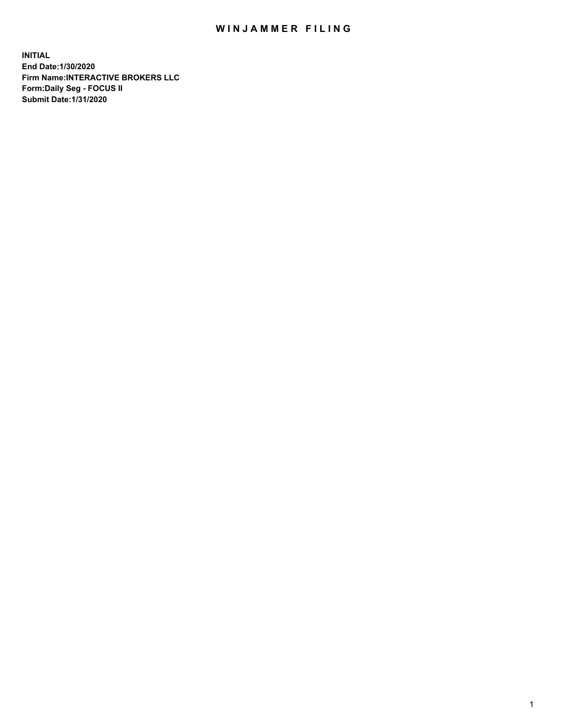## WIN JAMMER FILING

**INITIAL End Date:1/30/2020 Firm Name:INTERACTIVE BROKERS LLC Form:Daily Seg - FOCUS II Submit Date:1/31/2020**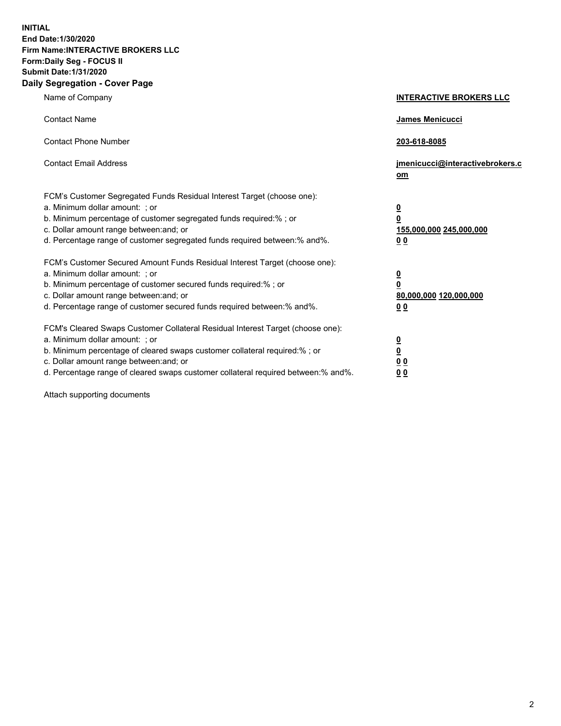**INITIAL End Date:1/30/2020 Firm Name:INTERACTIVE BROKERS LLC Form:Daily Seg - FOCUS II Submit Date:1/31/2020 Daily Segregation - Cover Page**

| Name of Company                                                                                                                                                                                                                                                                                                                 | <b>INTERACTIVE BROKERS LLC</b>                                                   |
|---------------------------------------------------------------------------------------------------------------------------------------------------------------------------------------------------------------------------------------------------------------------------------------------------------------------------------|----------------------------------------------------------------------------------|
| <b>Contact Name</b>                                                                                                                                                                                                                                                                                                             | <b>James Menicucci</b>                                                           |
| <b>Contact Phone Number</b>                                                                                                                                                                                                                                                                                                     | 203-618-8085                                                                     |
| <b>Contact Email Address</b>                                                                                                                                                                                                                                                                                                    | jmenicucci@interactivebrokers.c<br>om                                            |
| FCM's Customer Segregated Funds Residual Interest Target (choose one):<br>a. Minimum dollar amount: ; or<br>b. Minimum percentage of customer segregated funds required:% ; or<br>c. Dollar amount range between: and; or<br>d. Percentage range of customer segregated funds required between:% and%.                          | <u>0</u><br>$\overline{\mathbf{0}}$<br>155,000,000 245,000,000<br>0 <sub>0</sub> |
| FCM's Customer Secured Amount Funds Residual Interest Target (choose one):<br>a. Minimum dollar amount: ; or<br>b. Minimum percentage of customer secured funds required:%; or<br>c. Dollar amount range between: and; or<br>d. Percentage range of customer secured funds required between:% and%.                             | <u>0</u><br>$\overline{\mathbf{0}}$<br>80,000,000 120,000,000<br>0 <sub>0</sub>  |
| FCM's Cleared Swaps Customer Collateral Residual Interest Target (choose one):<br>a. Minimum dollar amount: ; or<br>b. Minimum percentage of cleared swaps customer collateral required:%; or<br>c. Dollar amount range between: and; or<br>d. Percentage range of cleared swaps customer collateral required between: % and %. | <u>0</u><br>$\underline{\mathbf{0}}$<br>0 <sub>0</sub><br>0 <sub>0</sub>         |

Attach supporting documents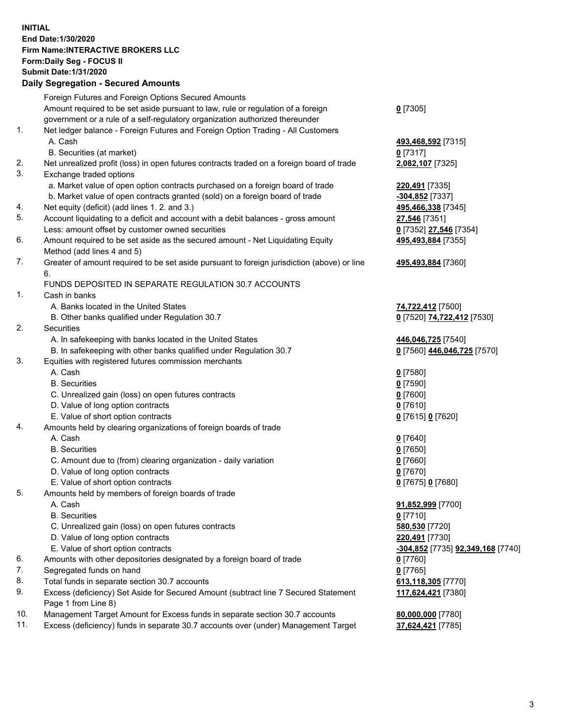**INITIAL End Date:1/30/2020 Firm Name:INTERACTIVE BROKERS LLC Form:Daily Seg - FOCUS II Submit Date:1/31/2020 Daily Segregation - Secured Amounts**

|     | Foreign Futures and Foreign Options Secured Amounts                                         |                                   |
|-----|---------------------------------------------------------------------------------------------|-----------------------------------|
|     | Amount required to be set aside pursuant to law, rule or regulation of a foreign            | $0$ [7305]                        |
|     | government or a rule of a self-regulatory organization authorized thereunder                |                                   |
| 1.  | Net ledger balance - Foreign Futures and Foreign Option Trading - All Customers             |                                   |
|     | A. Cash                                                                                     | 493,468,592 [7315]                |
|     | B. Securities (at market)                                                                   | $0$ [7317]                        |
| 2.  | Net unrealized profit (loss) in open futures contracts traded on a foreign board of trade   | 2,082,107 [7325]                  |
| 3.  | Exchange traded options                                                                     |                                   |
|     | a. Market value of open option contracts purchased on a foreign board of trade              | 220,491 [7335]                    |
|     | b. Market value of open contracts granted (sold) on a foreign board of trade                | -304,852 [7337]                   |
| 4.  | Net equity (deficit) (add lines 1. 2. and 3.)                                               | 495,466,338 [7345]                |
| 5.  | Account liquidating to a deficit and account with a debit balances - gross amount           | 27,546 [7351]                     |
|     | Less: amount offset by customer owned securities                                            | 0 [7352] 27,546 [7354]            |
| 6.  | Amount required to be set aside as the secured amount - Net Liquidating Equity              | 495,493,884 [7355]                |
|     | Method (add lines 4 and 5)                                                                  |                                   |
| 7.  | Greater of amount required to be set aside pursuant to foreign jurisdiction (above) or line | 495,493,884 [7360]                |
|     | 6.<br>FUNDS DEPOSITED IN SEPARATE REGULATION 30.7 ACCOUNTS                                  |                                   |
|     |                                                                                             |                                   |
| 1.  | Cash in banks<br>A. Banks located in the United States                                      |                                   |
|     |                                                                                             | 74,722,412 [7500]                 |
| 2.  | B. Other banks qualified under Regulation 30.7<br>Securities                                | 0 [7520] 74,722,412 [7530]        |
|     | A. In safekeeping with banks located in the United States                                   | 446,046,725 [7540]                |
|     | B. In safekeeping with other banks qualified under Regulation 30.7                          | 0 [7560] 446,046,725 [7570]       |
| 3.  | Equities with registered futures commission merchants                                       |                                   |
|     | A. Cash                                                                                     | $0$ [7580]                        |
|     | <b>B.</b> Securities                                                                        | $0$ [7590]                        |
|     | C. Unrealized gain (loss) on open futures contracts                                         | $0$ [7600]                        |
|     | D. Value of long option contracts                                                           | $0$ [7610]                        |
|     | E. Value of short option contracts                                                          | 0 [7615] 0 [7620]                 |
| 4.  | Amounts held by clearing organizations of foreign boards of trade                           |                                   |
|     | A. Cash                                                                                     | $0$ [7640]                        |
|     | <b>B.</b> Securities                                                                        | $0$ [7650]                        |
|     | C. Amount due to (from) clearing organization - daily variation                             | $0$ [7660]                        |
|     | D. Value of long option contracts                                                           | $0$ [7670]                        |
|     | E. Value of short option contracts                                                          | 0 [7675] 0 [7680]                 |
| 5.  | Amounts held by members of foreign boards of trade                                          |                                   |
|     | A. Cash                                                                                     | 91,852,999 [7700]                 |
|     | <b>B.</b> Securities                                                                        | $0$ [7710]                        |
|     | C. Unrealized gain (loss) on open futures contracts                                         | 580,530 [7720]                    |
|     | D. Value of long option contracts                                                           | 220,491 [7730]                    |
|     | E. Value of short option contracts                                                          | -304,852 [7735] 92,349,168 [7740] |
| 6.  | Amounts with other depositories designated by a foreign board of trade                      | $0$ [7760]                        |
| 7.  | Segregated funds on hand                                                                    | $0$ [7765]                        |
| 8.  | Total funds in separate section 30.7 accounts                                               | 613,118,305 [7770]                |
| 9.  | Excess (deficiency) Set Aside for Secured Amount (subtract line 7 Secured Statement         | 117,624,421 [7380]                |
|     | Page 1 from Line 8)                                                                         |                                   |
| 10. | Management Target Amount for Excess funds in separate section 30.7 accounts                 | 80,000,000 [7780]                 |
| 11. | Excess (deficiency) funds in separate 30.7 accounts over (under) Management Target          | 37,624,421 [7785]                 |
|     |                                                                                             |                                   |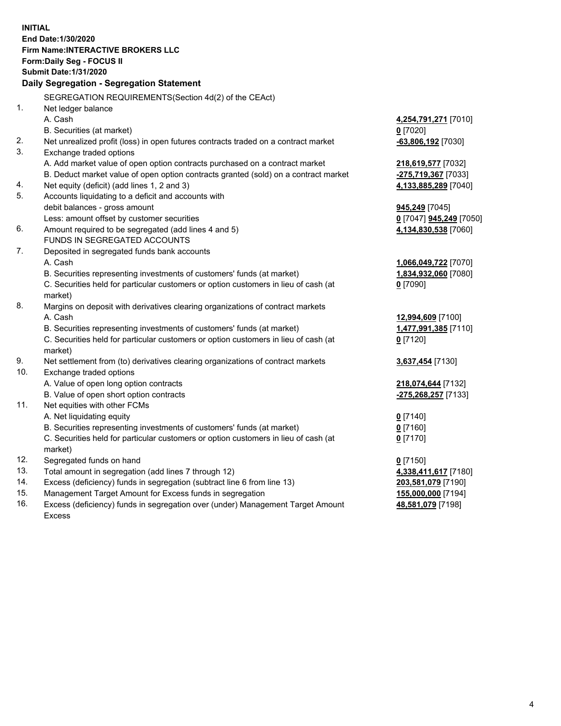**INITIAL End Date:1/30/2020 Firm Name:INTERACTIVE BROKERS LLC Form:Daily Seg - FOCUS II Submit Date:1/31/2020 Daily Segregation - Segregation Statement** SEGREGATION REQUIREMENTS(Section 4d(2) of the CEAct) 1. Net ledger balance A. Cash **4,254,791,271** [7010] B. Securities (at market) **0** [7020] 2. Net unrealized profit (loss) in open futures contracts traded on a contract market **-63,806,192** [7030] 3. Exchange traded options A. Add market value of open option contracts purchased on a contract market **218,619,577** [7032] B. Deduct market value of open option contracts granted (sold) on a contract market **-275,719,367** [7033] 4. Net equity (deficit) (add lines 1, 2 and 3) **4,133,885,289** [7040] 5. Accounts liquidating to a deficit and accounts with debit balances - gross amount **945,249** [7045] Less: amount offset by customer securities **0** [7047] **945,249** [7050] 6. Amount required to be segregated (add lines 4 and 5) **4,134,830,538** [7060] FUNDS IN SEGREGATED ACCOUNTS 7. Deposited in segregated funds bank accounts A. Cash **1,066,049,722** [7070] B. Securities representing investments of customers' funds (at market) **1,834,932,060** [7080] C. Securities held for particular customers or option customers in lieu of cash (at market) **0** [7090] 8. Margins on deposit with derivatives clearing organizations of contract markets A. Cash **12,994,609** [7100] B. Securities representing investments of customers' funds (at market) **1,477,991,385** [7110] C. Securities held for particular customers or option customers in lieu of cash (at market) **0** [7120] 9. Net settlement from (to) derivatives clearing organizations of contract markets **3,637,454** [7130] 10. Exchange traded options A. Value of open long option contracts **218,074,644** [7132] B. Value of open short option contracts **-275,268,257** [7133] 11. Net equities with other FCMs A. Net liquidating equity **0** [7140] B. Securities representing investments of customers' funds (at market) **0** [7160] C. Securities held for particular customers or option customers in lieu of cash (at market) **0** [7170] 12. Segregated funds on hand **0** [7150] 13. Total amount in segregation (add lines 7 through 12) **4,338,411,617** [7180] 14. Excess (deficiency) funds in segregation (subtract line 6 from line 13) **203,581,079** [7190] 15. Management Target Amount for Excess funds in segregation **155,000,000** [7194]

16. Excess (deficiency) funds in segregation over (under) Management Target Amount Excess

**48,581,079** [7198]